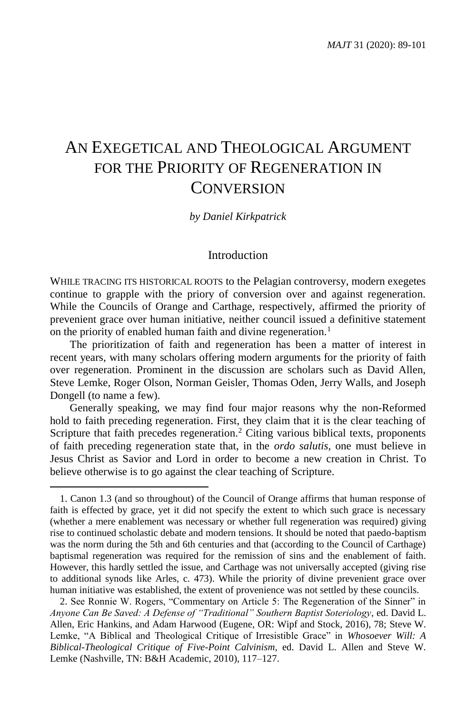# AN EXEGETICAL AND THEOLOGICAL ARGUMENT FOR THE PRIORITY OF REGENERATION IN **CONVERSION**

#### *by Daniel Kirkpatrick*

## Introduction

WHILE TRACING ITS HISTORICAL ROOTS to the Pelagian controversy, modern exegetes continue to grapple with the priory of conversion over and against regeneration. While the Councils of Orange and Carthage, respectively, affirmed the priority of prevenient grace over human initiative, neither council issued a definitive statement on the priority of enabled human faith and divine regeneration.<sup>1</sup>

The prioritization of faith and regeneration has been a matter of interest in recent years, with many scholars offering modern arguments for the priority of faith over regeneration. Prominent in the discussion are scholars such as David Allen, Steve Lemke, Roger Olson, Norman Geisler, Thomas Oden, Jerry Walls, and Joseph Dongell (to name a few).

Generally speaking, we may find four major reasons why the non-Reformed hold to faith preceding regeneration. First, they claim that it is the clear teaching of Scripture that faith precedes regeneration.<sup>2</sup> Citing various biblical texts, proponents of faith preceding regeneration state that, in the *ordo salutis,* one must believe in Jesus Christ as Savior and Lord in order to become a new creation in Christ. To believe otherwise is to go against the clear teaching of Scripture.

 $\overline{\phantom{a}}$ 

2. See Ronnie W. Rogers, "Commentary on Article 5: The Regeneration of the Sinner" in *Anyone Can Be Saved: A Defense of "Traditional" Southern Baptist Soteriology,* ed. David L. Allen, Eric Hankins, and Adam Harwood (Eugene, OR: Wipf and Stock, 2016), 78; Steve W. Lemke, "A Biblical and Theological Critique of Irresistible Grace" in *Whosoever Will: A Biblical-Theological Critique of Five-Point Calvinism,* ed. David L. Allen and Steve W. Lemke (Nashville, TN: B&H Academic, 2010), 117–127.

<sup>1.</sup> Canon 1.3 (and so throughout) of the Council of Orange affirms that human response of faith is effected by grace, yet it did not specify the extent to which such grace is necessary (whether a mere enablement was necessary or whether full regeneration was required) giving rise to continued scholastic debate and modern tensions. It should be noted that paedo-baptism was the norm during the 5th and 6th centuries and that (according to the Council of Carthage) baptismal regeneration was required for the remission of sins and the enablement of faith. However, this hardly settled the issue, and Carthage was not universally accepted (giving rise to additional synods like Arles, c. 473). While the priority of divine prevenient grace over human initiative was established, the extent of provenience was not settled by these councils.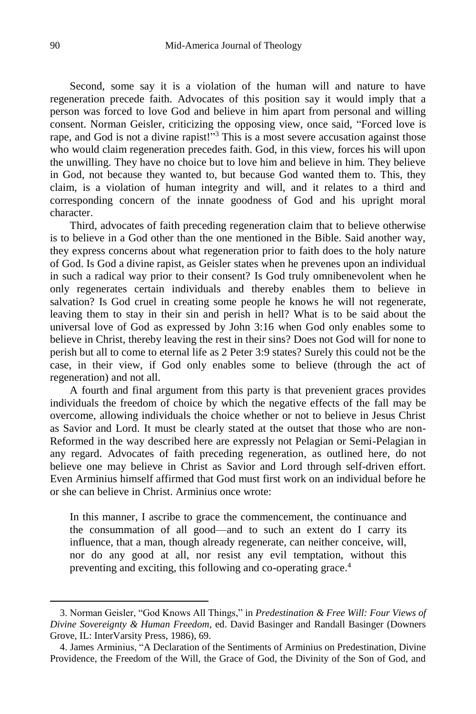Second, some say it is a violation of the human will and nature to have regeneration precede faith. Advocates of this position say it would imply that a person was forced to love God and believe in him apart from personal and willing consent. Norman Geisler, criticizing the opposing view, once said, "Forced love is rape, and God is not a divine rapist!"<sup>3</sup> This is a most severe accusation against those who would claim regeneration precedes faith. God, in this view, forces his will upon the unwilling. They have no choice but to love him and believe in him. They believe in God, not because they wanted to, but because God wanted them to. This, they claim, is a violation of human integrity and will, and it relates to a third and corresponding concern of the innate goodness of God and his upright moral character.

Third, advocates of faith preceding regeneration claim that to believe otherwise is to believe in a God other than the one mentioned in the Bible. Said another way, they express concerns about what regeneration prior to faith does to the holy nature of God. Is God a divine rapist, as Geisler states when he prevenes upon an individual in such a radical way prior to their consent? Is God truly omnibenevolent when he only regenerates certain individuals and thereby enables them to believe in salvation? Is God cruel in creating some people he knows he will not regenerate, leaving them to stay in their sin and perish in hell? What is to be said about the universal love of God as expressed by John 3:16 when God only enables some to believe in Christ, thereby leaving the rest in their sins? Does not God will for none to perish but all to come to eternal life as 2 Peter 3:9 states? Surely this could not be the case, in their view, if God only enables some to believe (through the act of regeneration) and not all.

A fourth and final argument from this party is that prevenient graces provides individuals the freedom of choice by which the negative effects of the fall may be overcome, allowing individuals the choice whether or not to believe in Jesus Christ as Savior and Lord. It must be clearly stated at the outset that those who are non-Reformed in the way described here are expressly not Pelagian or Semi-Pelagian in any regard. Advocates of faith preceding regeneration, as outlined here, do not believe one may believe in Christ as Savior and Lord through self-driven effort. Even Arminius himself affirmed that God must first work on an individual before he or she can believe in Christ. Arminius once wrote:

In this manner, I ascribe to grace the commencement, the continuance and the consummation of all good—and to such an extent do I carry its influence, that a man, though already regenerate, can neither conceive, will, nor do any good at all, nor resist any evil temptation, without this preventing and exciting, this following and co-operating grace.<sup>4</sup>

<sup>3.</sup> Norman Geisler, "God Knows All Things," in *Predestination & Free Will: Four Views of Divine Sovereignty & Human Freedom,* ed. David Basinger and Randall Basinger (Downers Grove, IL: InterVarsity Press, 1986), 69.

<sup>4.</sup> James Arminius, "A Declaration of the Sentiments of Arminius on Predestination, Divine Providence, the Freedom of the Will, the Grace of God, the Divinity of the Son of God, and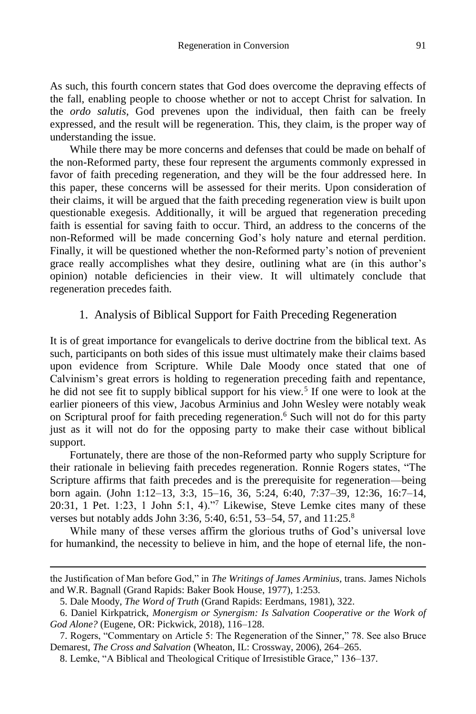As such, this fourth concern states that God does overcome the depraving effects of the fall, enabling people to choose whether or not to accept Christ for salvation. In the *ordo salutis*, God prevenes upon the individual, then faith can be freely expressed, and the result will be regeneration. This, they claim, is the proper way of understanding the issue.

While there may be more concerns and defenses that could be made on behalf of the non-Reformed party, these four represent the arguments commonly expressed in favor of faith preceding regeneration, and they will be the four addressed here. In this paper, these concerns will be assessed for their merits. Upon consideration of their claims, it will be argued that the faith preceding regeneration view is built upon questionable exegesis. Additionally, it will be argued that regeneration preceding faith is essential for saving faith to occur. Third, an address to the concerns of the non-Reformed will be made concerning God's holy nature and eternal perdition. Finally, it will be questioned whether the non-Reformed party's notion of prevenient grace really accomplishes what they desire, outlining what are (in this author's opinion) notable deficiencies in their view. It will ultimately conclude that regeneration precedes faith.

# 1. Analysis of Biblical Support for Faith Preceding Regeneration

It is of great importance for evangelicals to derive doctrine from the biblical text. As such, participants on both sides of this issue must ultimately make their claims based upon evidence from Scripture. While Dale Moody once stated that one of Calvinism's great errors is holding to regeneration preceding faith and repentance, he did not see fit to supply biblical support for his view.<sup>5</sup> If one were to look at the earlier pioneers of this view, Jacobus Arminius and John Wesley were notably weak on Scriptural proof for faith preceding regeneration. <sup>6</sup> Such will not do for this party just as it will not do for the opposing party to make their case without biblical support.

Fortunately, there are those of the non-Reformed party who supply Scripture for their rationale in believing faith precedes regeneration. Ronnie Rogers states, "The Scripture affirms that faith precedes and is the prerequisite for regeneration—being born again. (John 1:12–13, 3:3, 15–16, 36, 5:24, 6:40, 7:37–39, 12:36, 16:7–14, 20:31, 1 Pet. 1:23, 1 John 5:1, 4)."<sup>7</sup> Likewise, Steve Lemke cites many of these verses but notably adds John 3:36, 5:40, 6:51, 53–54, 57, and 11:25.<sup>8</sup>

While many of these verses affirm the glorious truths of God's universal love for humankind, the necessity to believe in him, and the hope of eternal life, the non-

the Justification of Man before God," in *The Writings of James Arminius,* trans. James Nichols and W.R. Bagnall (Grand Rapids: Baker Book House, 1977), 1:253.

<sup>5.</sup> Dale Moody, *The Word of Truth* (Grand Rapids: Eerdmans, 1981), 322.

<sup>6.</sup> Daniel Kirkpatrick, *Monergism or Synergism: Is Salvation Cooperative or the Work of God Alone?* (Eugene, OR: Pickwick, 2018), 116–128.

<sup>7.</sup> Rogers, "Commentary on Article 5: The Regeneration of the Sinner," 78. See also Bruce Demarest, *The Cross and Salvation* (Wheaton, IL: Crossway, 2006), 264–265.

<sup>8.</sup> Lemke, "A Biblical and Theological Critique of Irresistible Grace," 136–137.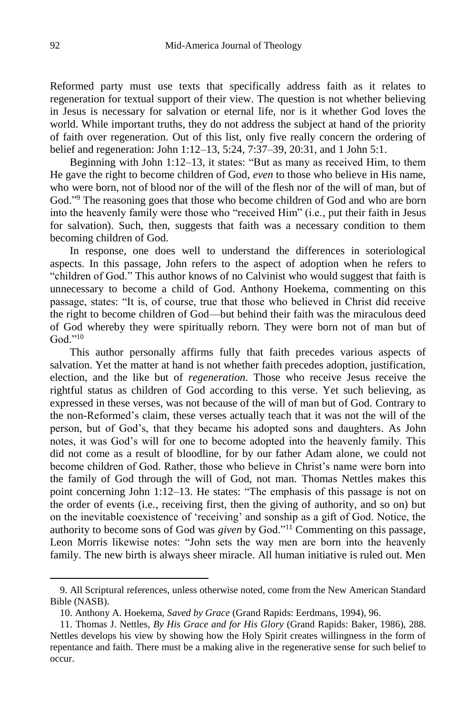Reformed party must use texts that specifically address faith as it relates to regeneration for textual support of their view. The question is not whether believing in Jesus is necessary for salvation or eternal life, nor is it whether God loves the world. While important truths, they do not address the subject at hand of the priority of faith over regeneration. Out of this list, only five really concern the ordering of belief and regeneration: John 1:12–13, 5:24, 7:37–39, 20:31, and 1 John 5:1.

Beginning with John 1:12–13, it states: "But as many as received Him, to them He gave the right to become children of God, *even* to those who believe in His name, who were born, not of blood nor of the will of the flesh nor of the will of man, but of God."<sup>9</sup> The reasoning goes that those who become children of God and who are born into the heavenly family were those who "received Him" (i.e., put their faith in Jesus for salvation). Such, then, suggests that faith was a necessary condition to them becoming children of God.

In response, one does well to understand the differences in soteriological aspects. In this passage, John refers to the aspect of adoption when he refers to "children of God." This author knows of no Calvinist who would suggest that faith is unnecessary to become a child of God. Anthony Hoekema, commenting on this passage, states: "It is, of course, true that those who believed in Christ did receive the right to become children of God—but behind their faith was the miraculous deed of God whereby they were spiritually reborn. They were born not of man but of God $^{1,10}$ 

This author personally affirms fully that faith precedes various aspects of salvation. Yet the matter at hand is not whether faith precedes adoption, justification, election, and the like but of *regeneration*. Those who receive Jesus receive the rightful status as children of God according to this verse. Yet such believing, as expressed in these verses, was not because of the will of man but of God. Contrary to the non-Reformed's claim, these verses actually teach that it was not the will of the person, but of God's, that they became his adopted sons and daughters. As John notes, it was God's will for one to become adopted into the heavenly family. This did not come as a result of bloodline, for by our father Adam alone, we could not become children of God. Rather, those who believe in Christ's name were born into the family of God through the will of God, not man. Thomas Nettles makes this point concerning John 1:12–13. He states: "The emphasis of this passage is not on the order of events (i.e., receiving first, then the giving of authority, and so on) but on the inevitable coexistence of 'receiving' and sonship as a gift of God. Notice, the authority to become sons of God was *given* by God."<sup>11</sup> Commenting on this passage, Leon Morris likewise notes: "John sets the way men are born into the heavenly family. The new birth is always sheer miracle. All human initiative is ruled out. Men

<sup>9.</sup> All Scriptural references, unless otherwise noted, come from the New American Standard Bible (NASB).

<sup>10.</sup> Anthony A. Hoekema, *Saved by Grace* (Grand Rapids: Eerdmans, 1994), 96.

<sup>11.</sup> Thomas J. Nettles, *By His Grace and for His Glory* (Grand Rapids: Baker, 1986), 288. Nettles develops his view by showing how the Holy Spirit creates willingness in the form of repentance and faith. There must be a making alive in the regenerative sense for such belief to occur.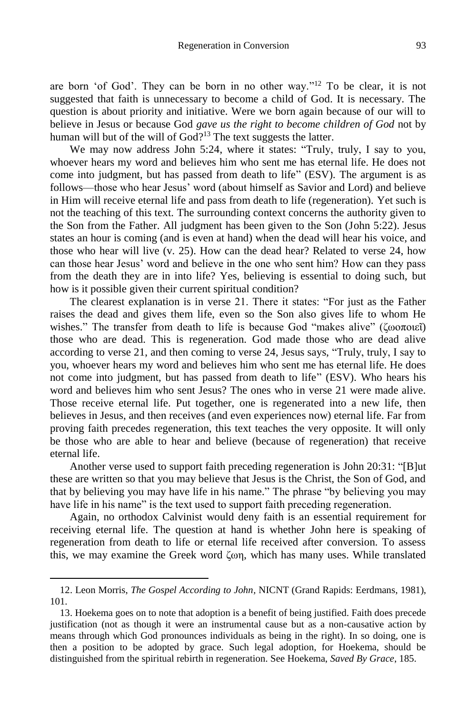are born 'of God'. They can be born in no other way." <sup>12</sup> To be clear, it is not suggested that faith is unnecessary to become a child of God. It is necessary. The question is about priority and initiative. Were we born again because of our will to believe in Jesus or because God *gave us the right to become children of God* not by human will but of the will of God?<sup>13</sup> The text suggests the latter.

We may now address John 5:24, where it states: "Truly, truly, I say to you, whoever hears my word and believes him who sent me has eternal life. He does not come into judgment, but has passed from death to life" (ESV). The argument is as follows—those who hear Jesus' word (about himself as Savior and Lord) and believe in Him will receive eternal life and pass from death to life (regeneration). Yet such is not the teaching of this text. The surrounding context concerns the authority given to the Son from the Father. All judgment has been given to the Son (John 5:22). Jesus states an hour is coming (and is even at hand) when the dead will hear his voice, and those who hear will live (v. 25). How can the dead hear? Related to verse 24, how can those hear Jesus' word and believe in the one who sent him? How can they pass from the death they are in into life? Yes, believing is essential to doing such, but how is it possible given their current spiritual condition?

The clearest explanation is in verse 21. There it states: "For just as the Father raises the dead and gives them life, even so the Son also gives life to whom He wishes." The transfer from death to life is because God "makes alive" (ζωοποιεΐ) those who are dead. This is regeneration. God made those who are dead alive according to verse 21, and then coming to verse 24, Jesus says, "Truly, truly, I say to you, whoever hears my word and believes him who sent me has eternal life. He does not come into judgment, but has passed from death to life" (ESV). Who hears his word and believes him who sent Jesus? The ones who in verse 21 were made alive. Those receive eternal life. Put together, one is regenerated into a new life, then believes in Jesus, and then receives (and even experiences now) eternal life. Far from proving faith precedes regeneration, this text teaches the very opposite. It will only be those who are able to hear and believe (because of regeneration) that receive eternal life.

Another verse used to support faith preceding regeneration is John 20:31: "[B]ut these are written so that you may believe that Jesus is the Christ, the Son of God, and that by believing you may have life in his name." The phrase "by believing you may have life in his name" is the text used to support faith preceding regeneration.

Again, no orthodox Calvinist would deny faith is an essential requirement for receiving eternal life. The question at hand is whether John here is speaking of regeneration from death to life or eternal life received after conversion. To assess this, we may examine the Greek word ζωη, which has many uses. While translated

<sup>12.</sup> Leon Morris, *The Gospel According to John,* NICNT (Grand Rapids: Eerdmans, 1981), 101.

<sup>13.</sup> Hoekema goes on to note that adoption is a benefit of being justified. Faith does precede justification (not as though it were an instrumental cause but as a non-causative action by means through which God pronounces individuals as being in the right). In so doing, one is then a position to be adopted by grace. Such legal adoption, for Hoekema, should be distinguished from the spiritual rebirth in regeneration. See Hoekema, *Saved By Grace*, 185.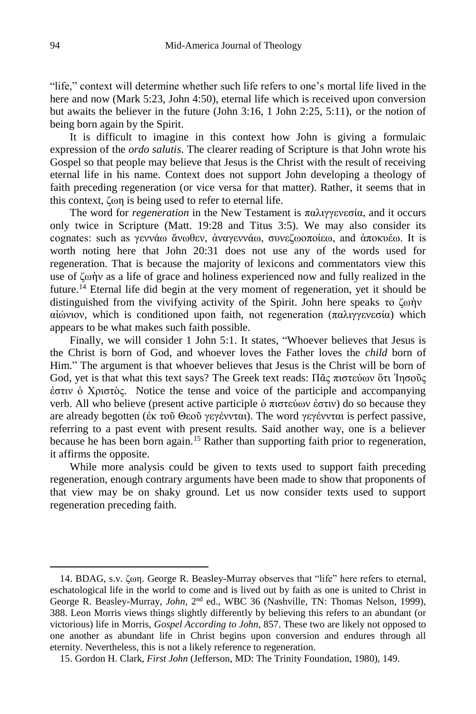"life," context will determine whether such life refers to one's mortal life lived in the here and now (Mark 5:23, John 4:50), eternal life which is received upon conversion but awaits the believer in the future (John 3:16, 1 John 2:25, 5:11), or the notion of being born again by the Spirit.

It is difficult to imagine in this context how John is giving a formulaic expression of the *ordo salutis*. The clearer reading of Scripture is that John wrote his Gospel so that people may believe that Jesus is the Christ with the result of receiving eternal life in his name. Context does not support John developing a theology of faith preceding regeneration (or vice versa for that matter). Rather, it seems that in this context, ζωη is being used to refer to eternal life.

The word for *regeneration* in the New Testament is παλιγγενεσία, and it occurs only twice in Scripture (Matt. 19:28 and Titus 3:5). We may also consider its cognates: such as γεννάω ἄνωθεν, ἀναγεννάω, συνεζωοποίεω, and ἀποκυέω. It is worth noting here that John 20:31 does not use any of the words used for regeneration. That is because the majority of lexicons and commentators view this use of ζωἡν as a life of grace and holiness experienced now and fully realized in the future.<sup>14</sup> Eternal life did begin at the very moment of regeneration, yet it should be distinguished from the vivifying activity of the Spirit. John here speaks το ζωἡν αἰώνιον, which is conditioned upon faith, not regeneration (παλιγγενεσία) which appears to be what makes such faith possible.

Finally, we will consider 1 John 5:1. It states, "Whoever believes that Jesus is the Christ is born of God, and whoever loves the Father loves the *child* born of Him." The argument is that whoever believes that Jesus is the Christ will be born of God, yet is that what this text says? The Greek text reads: Πᾶς πιστεύων ὃτι Ἰησοῦς ἐστιν ὁ Χριστὸς. Notice the tense and voice of the participle and accompanying verb. All who believe (present active participle ὁ πιστεύων ἐστιν) do so because they are already begotten (ἐκ τοῦ Θεοῦ γεγέννται). The word γεγέννται is perfect passive, referring to a past event with present results. Said another way, one is a believer because he has been born again.<sup>15</sup> Rather than supporting faith prior to regeneration, it affirms the opposite.

While more analysis could be given to texts used to support faith preceding regeneration, enough contrary arguments have been made to show that proponents of that view may be on shaky ground. Let us now consider texts used to support regeneration preceding faith.

<sup>14.</sup> BDAG, s.v. ζωη. George R. Beasley-Murray observes that "life" here refers to eternal, eschatological life in the world to come and is lived out by faith as one is united to Christ in George R. Beasley-Murray, *John*, 2<sup>nd</sup> ed., WBC 36 (Nashville, TN: Thomas Nelson, 1999), 388. Leon Morris views things slightly differently by believing this refers to an abundant (or victorious) life in Morris, *Gospel According to John*, 857. These two are likely not opposed to one another as abundant life in Christ begins upon conversion and endures through all eternity. Nevertheless, this is not a likely reference to regeneration.

<sup>15.</sup> Gordon H. Clark, *First John* (Jefferson, MD: The Trinity Foundation, 1980), 149.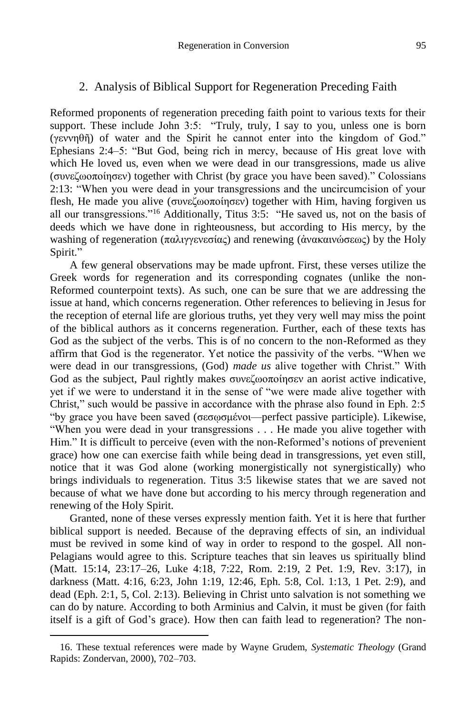#### 2. Analysis of Biblical Support for Regeneration Preceding Faith

Reformed proponents of regeneration preceding faith point to various texts for their support. These include John 3:5: "Truly, truly, I say to you, unless one is born (γεννηθῆ) of water and the Spirit he cannot enter into the kingdom of God." Ephesians 2:4–5: "But God, being rich in mercy, because of His great love with which He loved us, even when we were dead in our transgressions, made us alive (συνεζωοποίησεν) together with Christ (by grace you have been saved)." Colossians 2:13: "When you were dead in your transgressions and the uncircumcision of your flesh, He made you alive (συνεζωοποίησεν) together with Him, having forgiven us all our transgressions."<sup>16</sup> Additionally, Titus 3:5: "He saved us, not on the basis of deeds which we have done in righteousness, but according to His mercy, by the washing of regeneration (παλιγγενεσίας) and renewing (άνακαινώσεως) by the Holy Spirit."

A few general observations may be made upfront. First, these verses utilize the Greek words for regeneration and its corresponding cognates (unlike the non-Reformed counterpoint texts). As such, one can be sure that we are addressing the issue at hand, which concerns regeneration. Other references to believing in Jesus for the reception of eternal life are glorious truths, yet they very well may miss the point of the biblical authors as it concerns regeneration. Further, each of these texts has God as the subject of the verbs. This is of no concern to the non-Reformed as they affirm that God is the regenerator. Yet notice the passivity of the verbs. "When we were dead in our transgressions, (God) *made us* alive together with Christ." With God as the subject, Paul rightly makes συνεζωοποίησεν an aorist active indicative, yet if we were to understand it in the sense of "we were made alive together with Christ," such would be passive in accordance with the phrase also found in Eph. 2:5 "by grace you have been saved (σεσῳσμένοι—perfect passive participle). Likewise, "When you were dead in your transgressions . . . He made you alive together with Him." It is difficult to perceive (even with the non-Reformed's notions of prevenient grace) how one can exercise faith while being dead in transgressions, yet even still, notice that it was God alone (working monergistically not synergistically) who brings individuals to regeneration. Titus 3:5 likewise states that we are saved not because of what we have done but according to his mercy through regeneration and renewing of the Holy Spirit.

Granted, none of these verses expressly mention faith. Yet it is here that further biblical support is needed. Because of the depraving effects of sin, an individual must be revived in some kind of way in order to respond to the gospel. All non-Pelagians would agree to this. Scripture teaches that sin leaves us spiritually blind (Matt. 15:14, 23:17–26, Luke 4:18, 7:22, Rom. 2:19, 2 Pet. 1:9, Rev. 3:17), in darkness (Matt. 4:16, 6:23, John 1:19, 12:46, Eph. 5:8, Col. 1:13, 1 Pet. 2:9), and dead (Eph. 2:1, 5, Col. 2:13). Believing in Christ unto salvation is not something we can do by nature. According to both Arminius and Calvin, it must be given (for faith itself is a gift of God's grace). How then can faith lead to regeneration? The non-

l

<sup>16.</sup> These textual references were made by Wayne Grudem, *Systematic Theology* (Grand Rapids: Zondervan, 2000), 702–703.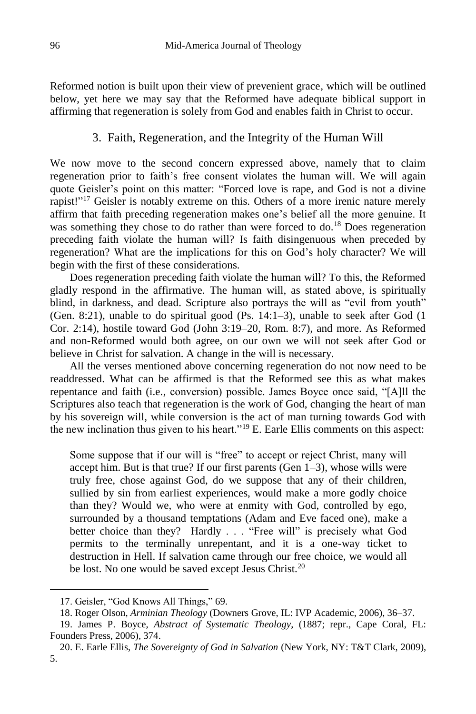Reformed notion is built upon their view of prevenient grace, which will be outlined below, yet here we may say that the Reformed have adequate biblical support in affirming that regeneration is solely from God and enables faith in Christ to occur.

### 3. Faith, Regeneration, and the Integrity of the Human Will

We now move to the second concern expressed above, namely that to claim regeneration prior to faith's free consent violates the human will. We will again quote Geisler's point on this matter: "Forced love is rape, and God is not a divine rapist!"<sup>17</sup> Geisler is notably extreme on this. Others of a more irenic nature merely affirm that faith preceding regeneration makes one's belief all the more genuine. It was something they chose to do rather than were forced to do.<sup>18</sup> Does regeneration preceding faith violate the human will? Is faith disingenuous when preceded by regeneration? What are the implications for this on God's holy character? We will begin with the first of these considerations.

Does regeneration preceding faith violate the human will? To this, the Reformed gladly respond in the affirmative. The human will, as stated above, is spiritually blind, in darkness, and dead. Scripture also portrays the will as "evil from youth" (Gen. 8:21), unable to do spiritual good (Ps. 14:1–3), unable to seek after God (1 Cor. 2:14), hostile toward God (John 3:19–20, Rom. 8:7), and more. As Reformed and non-Reformed would both agree, on our own we will not seek after God or believe in Christ for salvation. A change in the will is necessary.

All the verses mentioned above concerning regeneration do not now need to be readdressed. What can be affirmed is that the Reformed see this as what makes repentance and faith (i.e., conversion) possible. James Boyce once said, "[A]ll the Scriptures also teach that regeneration is the work of God, changing the heart of man by his sovereign will, while conversion is the act of man turning towards God with the new inclination thus given to his heart."<sup>19</sup> E. Earle Ellis comments on this aspect:

Some suppose that if our will is "free" to accept or reject Christ, many will accept him. But is that true? If our first parents (Gen  $1-3$ ), whose wills were truly free, chose against God, do we suppose that any of their children, sullied by sin from earliest experiences, would make a more godly choice than they? Would we, who were at enmity with God, controlled by ego, surrounded by a thousand temptations (Adam and Eve faced one), make a better choice than they? Hardly . . . "Free will" is precisely what God permits to the terminally unrepentant, and it is a one-way ticket to destruction in Hell. If salvation came through our free choice, we would all be lost. No one would be saved except Jesus Christ.<sup>20</sup>

<sup>17.</sup> Geisler, "God Knows All Things," 69.

<sup>18.</sup> Roger Olson, *Arminian Theology* (Downers Grove, IL: IVP Academic, 2006), 36–37.

<sup>19.</sup> James P. Boyce, *Abstract of Systematic Theology*, (1887; repr., Cape Coral, FL: Founders Press, 2006), 374.

<sup>20.</sup> E. Earle Ellis, *The Sovereignty of God in Salvation* (New York, NY: T&T Clark, 2009), 5.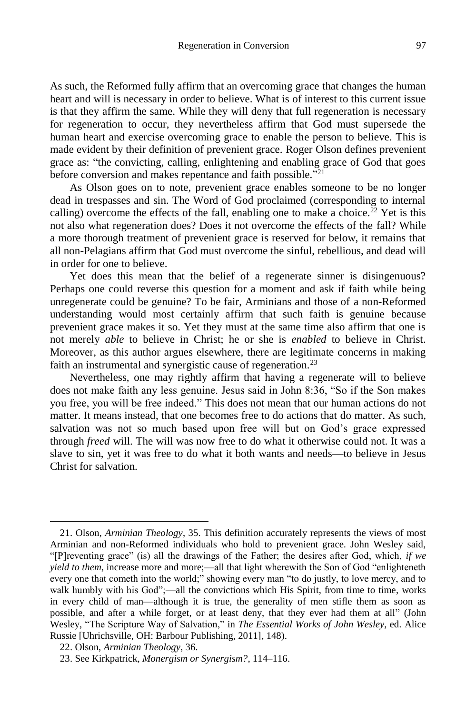As such, the Reformed fully affirm that an overcoming grace that changes the human heart and will is necessary in order to believe. What is of interest to this current issue is that they affirm the same. While they will deny that full regeneration is necessary for regeneration to occur, they nevertheless affirm that God must supersede the human heart and exercise overcoming grace to enable the person to believe. This is made evident by their definition of prevenient grace. Roger Olson defines prevenient grace as: "the convicting, calling, enlightening and enabling grace of God that goes before conversion and makes repentance and faith possible."<sup>21</sup>

As Olson goes on to note, prevenient grace enables someone to be no longer dead in trespasses and sin. The Word of God proclaimed (corresponding to internal calling) overcome the effects of the fall, enabling one to make a choice.<sup>22</sup> Yet is this not also what regeneration does? Does it not overcome the effects of the fall? While a more thorough treatment of prevenient grace is reserved for below, it remains that all non-Pelagians affirm that God must overcome the sinful, rebellious, and dead will in order for one to believe.

Yet does this mean that the belief of a regenerate sinner is disingenuous? Perhaps one could reverse this question for a moment and ask if faith while being unregenerate could be genuine? To be fair, Arminians and those of a non-Reformed understanding would most certainly affirm that such faith is genuine because prevenient grace makes it so. Yet they must at the same time also affirm that one is not merely *able* to believe in Christ; he or she is *enabled* to believe in Christ. Moreover, as this author argues elsewhere, there are legitimate concerns in making faith an instrumental and synergistic cause of regeneration.<sup>23</sup>

Nevertheless, one may rightly affirm that having a regenerate will to believe does not make faith any less genuine. Jesus said in John 8:36, "So if the Son makes you free, you will be free indeed." This does not mean that our human actions do not matter. It means instead, that one becomes free to do actions that do matter. As such, salvation was not so much based upon free will but on God's grace expressed through *freed* will. The will was now free to do what it otherwise could not. It was a slave to sin, yet it was free to do what it both wants and needs—to believe in Jesus Christ for salvation.

<sup>21.</sup> Olson, *Arminian Theology*, 35. This definition accurately represents the views of most Arminian and non-Reformed individuals who hold to prevenient grace. John Wesley said, "[P]reventing grace" (is) all the drawings of the Father; the desires after God, which, *if we yield to them*, increase more and more;—all that light wherewith the Son of God "enlighteneth every one that cometh into the world;" showing every man "to do justly, to love mercy, and to walk humbly with his God";—all the convictions which His Spirit, from time to time, works in every child of man—although it is true, the generality of men stifle them as soon as possible, and after a while forget, or at least deny, that they ever had them at all" (John Wesley, "The Scripture Way of Salvation," in *The Essential Works of John Wesley*, ed. Alice Russie [Uhrichsville, OH: Barbour Publishing, 2011], 148).

<sup>22.</sup> Olson, *Arminian Theology*, 36.

<sup>23.</sup> See Kirkpatrick, *Monergism or Synergism?*, 114–116.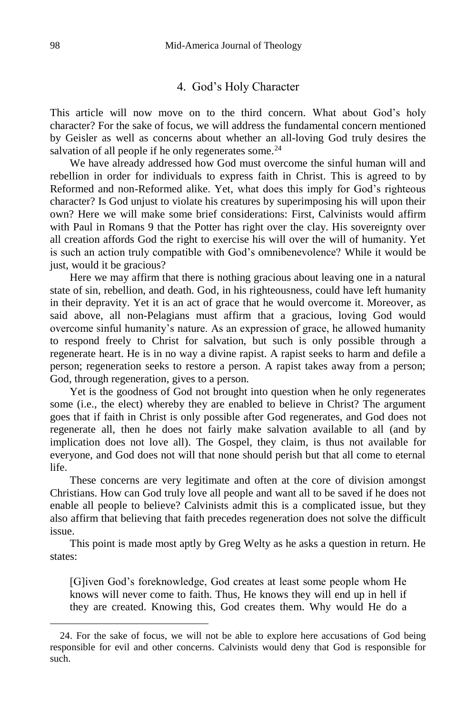#### 4. God's Holy Character

This article will now move on to the third concern. What about God's holy character? For the sake of focus, we will address the fundamental concern mentioned by Geisler as well as concerns about whether an all-loving God truly desires the salvation of all people if he only regenerates some.<sup>24</sup>

We have already addressed how God must overcome the sinful human will and rebellion in order for individuals to express faith in Christ. This is agreed to by Reformed and non-Reformed alike. Yet, what does this imply for God's righteous character? Is God unjust to violate his creatures by superimposing his will upon their own? Here we will make some brief considerations: First, Calvinists would affirm with Paul in Romans 9 that the Potter has right over the clay. His sovereignty over all creation affords God the right to exercise his will over the will of humanity. Yet is such an action truly compatible with God's omnibenevolence? While it would be just, would it be gracious?

Here we may affirm that there is nothing gracious about leaving one in a natural state of sin, rebellion, and death. God, in his righteousness, could have left humanity in their depravity. Yet it is an act of grace that he would overcome it. Moreover, as said above, all non-Pelagians must affirm that a gracious, loving God would overcome sinful humanity's nature. As an expression of grace, he allowed humanity to respond freely to Christ for salvation, but such is only possible through a regenerate heart. He is in no way a divine rapist. A rapist seeks to harm and defile a person; regeneration seeks to restore a person. A rapist takes away from a person; God, through regeneration, gives to a person.

Yet is the goodness of God not brought into question when he only regenerates some (i.e., the elect) whereby they are enabled to believe in Christ? The argument goes that if faith in Christ is only possible after God regenerates, and God does not regenerate all, then he does not fairly make salvation available to all (and by implication does not love all). The Gospel, they claim, is thus not available for everyone, and God does not will that none should perish but that all come to eternal life.

These concerns are very legitimate and often at the core of division amongst Christians. How can God truly love all people and want all to be saved if he does not enable all people to believe? Calvinists admit this is a complicated issue, but they also affirm that believing that faith precedes regeneration does not solve the difficult issue.

This point is made most aptly by Greg Welty as he asks a question in return. He states:

[G]iven God's foreknowledge, God creates at least some people whom He knows will never come to faith. Thus, He knows they will end up in hell if they are created. Knowing this, God creates them. Why would He do a

<sup>24.</sup> For the sake of focus, we will not be able to explore here accusations of God being responsible for evil and other concerns. Calvinists would deny that God is responsible for such.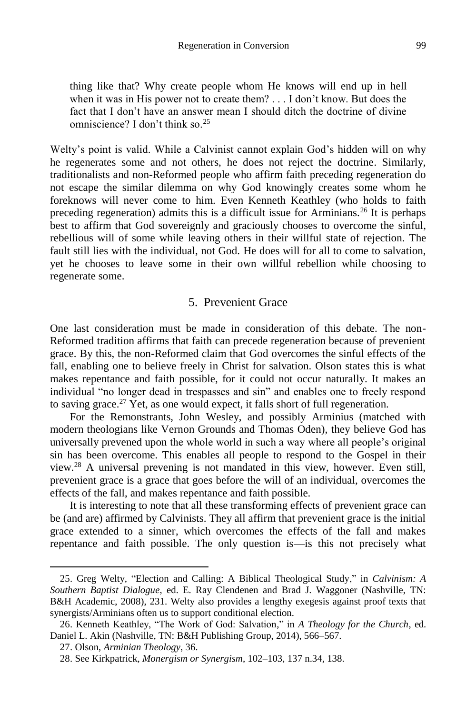thing like that? Why create people whom He knows will end up in hell when it was in His power not to create them? . . . I don't know. But does the fact that I don't have an answer mean I should ditch the doctrine of divine omniscience? I don't think so.<sup>25</sup>

Welty's point is valid. While a Calvinist cannot explain God's hidden will on why he regenerates some and not others, he does not reject the doctrine. Similarly, traditionalists and non-Reformed people who affirm faith preceding regeneration do not escape the similar dilemma on why God knowingly creates some whom he foreknows will never come to him. Even Kenneth Keathley (who holds to faith preceding regeneration) admits this is a difficult issue for Arminians.<sup>26</sup> It is perhaps best to affirm that God sovereignly and graciously chooses to overcome the sinful, rebellious will of some while leaving others in their willful state of rejection. The fault still lies with the individual, not God. He does will for all to come to salvation, yet he chooses to leave some in their own willful rebellion while choosing to regenerate some.

# 5. Prevenient Grace

One last consideration must be made in consideration of this debate. The non-Reformed tradition affirms that faith can precede regeneration because of prevenient grace. By this, the non-Reformed claim that God overcomes the sinful effects of the fall, enabling one to believe freely in Christ for salvation. Olson states this is what makes repentance and faith possible, for it could not occur naturally. It makes an individual "no longer dead in trespasses and sin" and enables one to freely respond to saving grace.<sup>27</sup> Yet, as one would expect, it falls short of full regeneration.

For the Remonstrants, John Wesley, and possibly Arminius (matched with modern theologians like Vernon Grounds and Thomas Oden), they believe God has universally prevened upon the whole world in such a way where all people's original sin has been overcome. This enables all people to respond to the Gospel in their view.<sup>28</sup> A universal prevening is not mandated in this view, however. Even still, prevenient grace is a grace that goes before the will of an individual, overcomes the effects of the fall, and makes repentance and faith possible.

It is interesting to note that all these transforming effects of prevenient grace can be (and are) affirmed by Calvinists. They all affirm that prevenient grace is the initial grace extended to a sinner, which overcomes the effects of the fall and makes repentance and faith possible. The only question is—is this not precisely what

<sup>25.</sup> Greg Welty, "Election and Calling: A Biblical Theological Study," in *Calvinism: A Southern Baptist Dialogue*, ed. E. Ray Clendenen and Brad J. Waggoner (Nashville, TN: B&H Academic, 2008), 231. Welty also provides a lengthy exegesis against proof texts that synergists/Arminians often us to support conditional election.

<sup>26.</sup> Kenneth Keathley, "The Work of God: Salvation," in *A Theology for the Church*, ed. Daniel L. Akin (Nashville, TN: B&H Publishing Group, 2014), 566–567.

<sup>27.</sup> Olson, *Arminian Theology*, 36.

<sup>28.</sup> See Kirkpatrick, *Monergism or Synergism*, 102–103, 137 n.34, 138.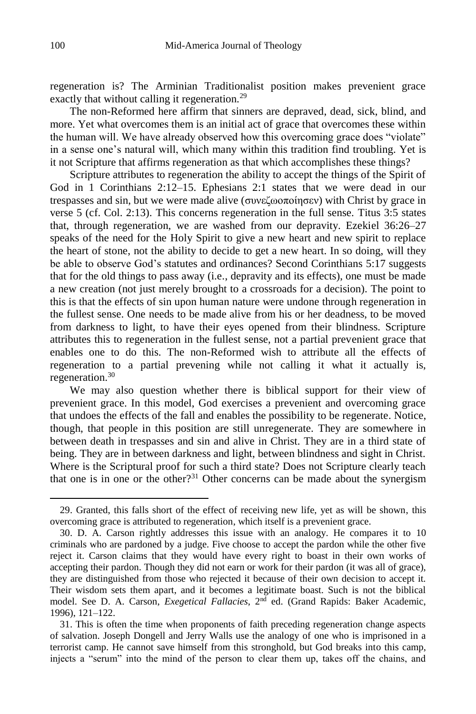regeneration is? The Arminian Traditionalist position makes prevenient grace exactly that without calling it regeneration.<sup>29</sup>

The non-Reformed here affirm that sinners are depraved, dead, sick, blind, and more. Yet what overcomes them is an initial act of grace that overcomes these within the human will. We have already observed how this overcoming grace does "violate" in a sense one's natural will, which many within this tradition find troubling. Yet is it not Scripture that affirms regeneration as that which accomplishes these things?

Scripture attributes to regeneration the ability to accept the things of the Spirit of God in 1 Corinthians 2:12–15. Ephesians 2:1 states that we were dead in our trespasses and sin, but we were made alive (συνεζωοποίησεν) with Christ by grace in verse 5 (cf. Col. 2:13). This concerns regeneration in the full sense. Titus 3:5 states that, through regeneration, we are washed from our depravity. Ezekiel 36:26–27 speaks of the need for the Holy Spirit to give a new heart and new spirit to replace the heart of stone, not the ability to decide to get a new heart. In so doing, will they be able to observe God's statutes and ordinances? Second Corinthians 5:17 suggests that for the old things to pass away (i.e., depravity and its effects), one must be made a new creation (not just merely brought to a crossroads for a decision). The point to this is that the effects of sin upon human nature were undone through regeneration in the fullest sense. One needs to be made alive from his or her deadness, to be moved from darkness to light, to have their eyes opened from their blindness. Scripture attributes this to regeneration in the fullest sense, not a partial prevenient grace that enables one to do this. The non-Reformed wish to attribute all the effects of regeneration to a partial prevening while not calling it what it actually is, regeneration.<sup>30</sup>

We may also question whether there is biblical support for their view of prevenient grace. In this model, God exercises a prevenient and overcoming grace that undoes the effects of the fall and enables the possibility to be regenerate. Notice, though, that people in this position are still unregenerate. They are somewhere in between death in trespasses and sin and alive in Christ. They are in a third state of being. They are in between darkness and light, between blindness and sight in Christ. Where is the Scriptural proof for such a third state? Does not Scripture clearly teach that one is in one or the other?<sup>31</sup> Other concerns can be made about the synergism

<sup>29.</sup> Granted, this falls short of the effect of receiving new life, yet as will be shown, this overcoming grace is attributed to regeneration, which itself is a prevenient grace.

<sup>30.</sup> D. A. Carson rightly addresses this issue with an analogy. He compares it to 10 criminals who are pardoned by a judge. Five choose to accept the pardon while the other five reject it. Carson claims that they would have every right to boast in their own works of accepting their pardon. Though they did not earn or work for their pardon (it was all of grace), they are distinguished from those who rejected it because of their own decision to accept it. Their wisdom sets them apart, and it becomes a legitimate boast. Such is not the biblical model. See D. A. Carson, *Exegetical Fallacies*, 2<sup>nd</sup> ed. (Grand Rapids: Baker Academic, 1996), 121–122.

<sup>31.</sup> This is often the time when proponents of faith preceding regeneration change aspects of salvation. Joseph Dongell and Jerry Walls use the analogy of one who is imprisoned in a terrorist camp. He cannot save himself from this stronghold, but God breaks into this camp, injects a "serum" into the mind of the person to clear them up, takes off the chains, and